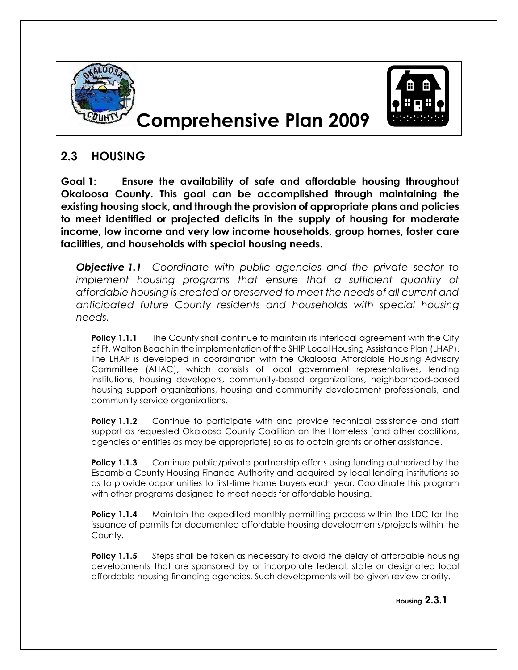

## **Comprehensive Plan 2009**



## **2.3 HOUSING**

**Goal 1: Ensure the availability of safe and affordable housing throughout Okaloosa County. This goal can be accomplished through maintaining the existing housing stock, and through the provision of appropriate plans and policies to meet identified or projected deficits in the supply of housing for moderate income, low income and very low income households, group homes, foster care facilities, and households with special housing needs.**

*Objective 1.1 Coordinate with public agencies and the private sector to implement housing programs that ensure that a sufficient quantity of affordable housing is created or preserved to meet the needs of all current and anticipated future County residents and households with special housing needs.*

**Policy 1.1.1** The County shall continue to maintain its interlocal agreement with the City of Ft. Walton Beach in the implementation of the SHIP Local Housing Assistance Plan (LHAP). The LHAP is developed in coordination with the Okaloosa Affordable Housing Advisory Committee (AHAC), which consists of local government representatives, lending institutions, housing developers, community-based organizations, neighborhood-based housing support organizations, housing and community development professionals, and community service organizations.

**Policy 1.1.2** Continue to participate with and provide technical assistance and staff support as requested Okaloosa County Coalition on the Homeless (and other coalitions, agencies or entities as may be appropriate) so as to obtain grants or other assistance.

**Policy 1.1.3** Continue public/private partnership efforts using funding authorized by the Escambia County Housing Finance Authority and acquired by local lending institutions so as to provide opportunities to first-time home buyers each year. Coordinate this program with other programs designed to meet needs for affordable housing.

**Policy 1.1.4** Maintain the expedited monthly permitting process within the LDC for the issuance of permits for documented affordable housing developments/projects within the County.

**Policy 1.1.5** Steps shall be taken as necessary to avoid the delay of affordable housing developments that are sponsored by or incorporate federal, state or designated local affordable housing financing agencies. Such developments will be given review priority.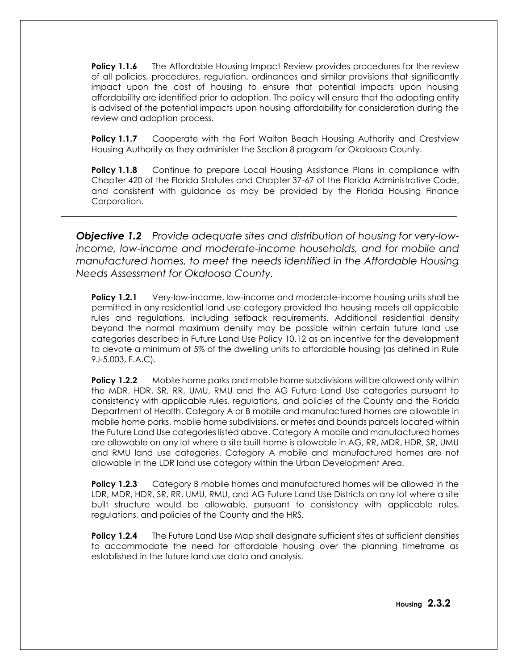**Policy 1.1.6** The Affordable Housing Impact Review provides procedures for the review of all policies, procedures, regulation, ordinances and similar provisions that significantly impact upon the cost of housing to ensure that potential impacts upon housing affordability are identified prior to adoption. The policy will ensure that the adopting entity is advised of the potential impacts upon housing affordability for consideration during the review and adoption process.

**Policy 1.1.7** Cooperate with the Fort Walton Beach Housing Authority and Crestview Housing Authority as they administer the Section 8 program for Okaloosa County.

**Policy 1.1.8** Continue to prepare Local Housing Assistance Plans in compliance with Chapter 420 of the Florida Statutes and Chapter 37-67 of the Florida Administrative Code, and consistent with guidance as may be provided by the Florida Housing Finance Corporation.

*Objective 1.2 Provide adequate sites and distribution of housing for very-lowincome, low-income and moderate-income households, and for mobile and manufactured homes, to meet the needs identified in the Affordable Housing Needs Assessment for Okaloosa County.*

\_\_\_\_\_\_\_\_\_\_\_\_\_\_\_\_\_\_\_\_\_\_\_\_\_\_\_\_\_\_\_\_\_\_\_\_\_\_\_\_\_\_\_\_\_\_\_\_\_\_\_\_\_\_\_\_\_\_\_\_\_\_\_\_\_\_\_\_\_\_\_\_\_\_\_\_\_\_

**Policy 1.2.1** Very-low-income, low-income and moderate-income housing units shall be permitted in any residential land use category provided the housing meets all applicable rules and regulations, including setback requirements. Additional residential density beyond the normal maximum density may be possible within certain future land use categories described in Future Land Use Policy 10.12 as an incentive for the development to devote a minimum of 5% of the dwelling units to affordable housing (as defined in Rule 9J-5.003, F.A.C).

**Policy 1.2.2** Mobile home parks and mobile home subdivisions will be allowed only within the MDR, HDR, SR, RR, UMU, RMU and the AG Future Land Use categories pursuant to consistency with applicable rules, regulations, and policies of the County and the Florida Department of Health. Category A or B mobile and manufactured homes are allowable in mobile home parks, mobile home subdivisions, or metes and bounds parcels located within the Future Land Use categories listed above. Category A mobile and manufactured homes are allowable on any lot where a site built home is allowable in AG, RR, MDR, HDR, SR, UMU and RMU land use categories. Category A mobile and manufactured homes are not allowable in the LDR land use category within the Urban Development Area.

**Policy 1.2.3** Category B mobile homes and manufactured homes will be allowed in the LDR, MDR, HDR, SR, RR, UMU, RMU, and AG Future Land Use Districts on any lot where a site built structure would be allowable, pursuant to consistency with applicable rules, regulations, and policies of the County and the HRS.

**Policy 1.2.4** The Future Land Use Map shall designate sufficient sites at sufficient densities to accommodate the need for affordable housing over the planning timeframe as established in the future land use data and analysis.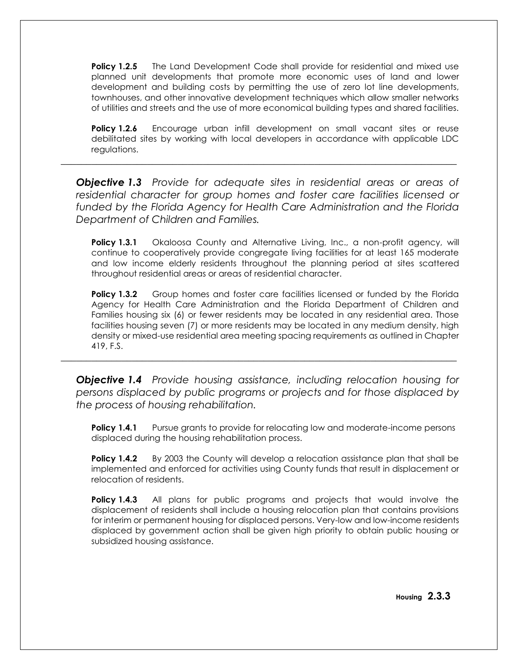**Policy 1.2.5** The Land Development Code shall provide for residential and mixed use planned unit developments that promote more economic uses of land and lower development and building costs by permitting the use of zero lot line developments, townhouses, and other innovative development techniques which allow smaller networks of utilities and streets and the use of more economical building types and shared facilities.

**Policy 1.2.6** Encourage urban infill development on small vacant sites or reuse debilitated sites by working with local developers in accordance with applicable LDC regulations.

*Objective 1.3 Provide for adequate sites in residential areas or areas of residential character for group homes and foster care facilities licensed or funded by the Florida Agency for Health Care Administration and the Florida Department of Children and Families.*

\_\_\_\_\_\_\_\_\_\_\_\_\_\_\_\_\_\_\_\_\_\_\_\_\_\_\_\_\_\_\_\_\_\_\_\_\_\_\_\_\_\_\_\_\_\_\_\_\_\_\_\_\_\_\_\_\_\_\_\_\_\_\_\_\_\_\_\_\_\_\_\_\_\_\_\_\_\_

**Policy 1.3.1** Okaloosa County and Alternative Living, Inc., a non-profit agency, will continue to cooperatively provide congregate living facilities for at least 165 moderate and low income elderly residents throughout the planning period at sites scattered throughout residential areas or areas of residential character.

**Policy 1.3.2** Group homes and foster care facilities licensed or funded by the Florida Agency for Health Care Administration and the Florida Department of Children and Families housing six (6) or fewer residents may be located in any residential area. Those facilities housing seven (7) or more residents may be located in any medium density, high density or mixed-use residential area meeting spacing requirements as outlined in Chapter 419, F.S.

*Objective 1.4 Provide housing assistance, including relocation housing for persons displaced by public programs or projects and for those displaced by the process of housing rehabilitation.*

\_\_\_\_\_\_\_\_\_\_\_\_\_\_\_\_\_\_\_\_\_\_\_\_\_\_\_\_\_\_\_\_\_\_\_\_\_\_\_\_\_\_\_\_\_\_\_\_\_\_\_\_\_\_\_\_\_\_\_\_\_\_\_\_\_\_\_\_\_\_\_\_\_\_\_\_\_\_

**Policy 1.4.1** Pursue grants to provide for relocating low and moderate-income persons displaced during the housing rehabilitation process.

**Policy 1.4.2** By 2003 the County will develop a relocation assistance plan that shall be implemented and enforced for activities using County funds that result in displacement or relocation of residents.

**Policy 1.4.3** All plans for public programs and projects that would involve the displacement of residents shall include a housing relocation plan that contains provisions for interim or permanent housing for displaced persons. Very-low and low-income residents displaced by government action shall be given high priority to obtain public housing or subsidized housing assistance.